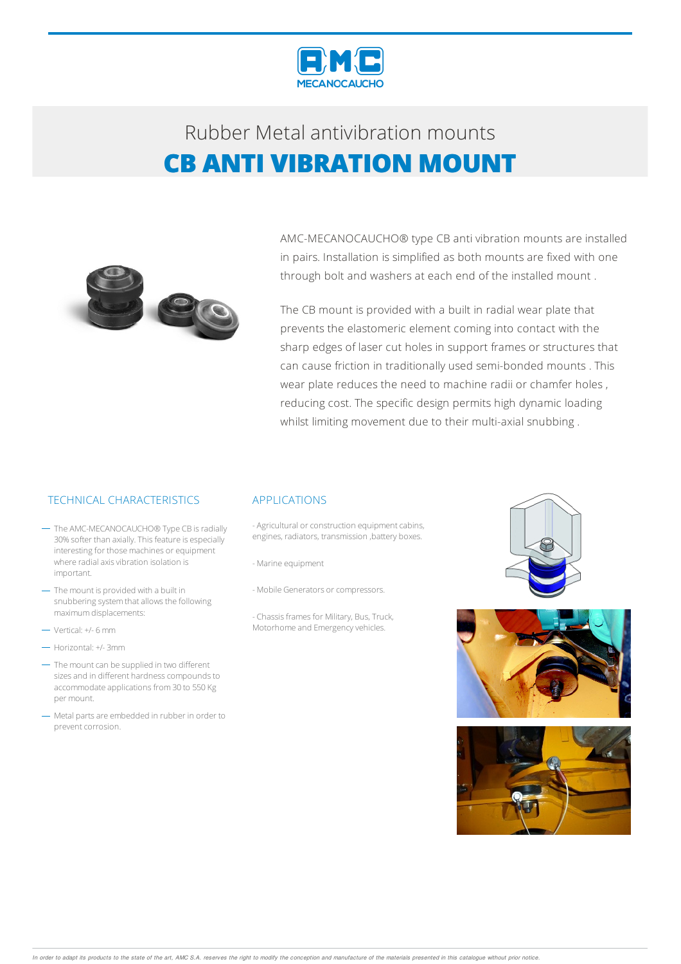

### Rubber Metalantivibration mounts **CB ANTI VIBRATION MOUNT**



AMC-MECANOCAUCHO® type CB anti vibration mounts are installed in pairs. Installation is simplified as both mounts are fixed with one through bolt and washers at each end of the installed mount .

The CB mount is provided with a built in radial wear plate that prevents the elastomeric element coming into contact with the sharp edges of laser cut holes in support frames or structures that can cause friction in traditionally used semi-bonded mounts . This wear plate reduces the need to machine radii or chamfer holes , reducing cost. The specific design permits high dynamic loading whilst limiting movement due to their multi-axial snubbing .

### TECHNICAL CHARACTERISTICS APPLICATIONS

- The AMC-MECANOCAUCHO<sup>®</sup> Type CB is radially 30% softer than axially. This feature is especially interesting for those machines or equipment where radial axis vibration isolation is important.
- The mount is provided with a built in snubbering system that allows the following maximumdisplacements:
- Vertical: +/- 6mm
- Horizontal: +/- 3mm
- The mount can be supplied in two different sizes and in different hardness compounds to accommodate applications from 30 to 550 Kg per mount.
- Metal parts are embedded in rubber in order to prevent corrosion.

- Agricultural or construction equipment cabins, engines, radiators, transmission ,battery boxes.
- -Marine equipment
- Mobile Generators or compressors.
- Chassis frames for Military, Bus, Truck, Motorhome and Emergency vehicles.





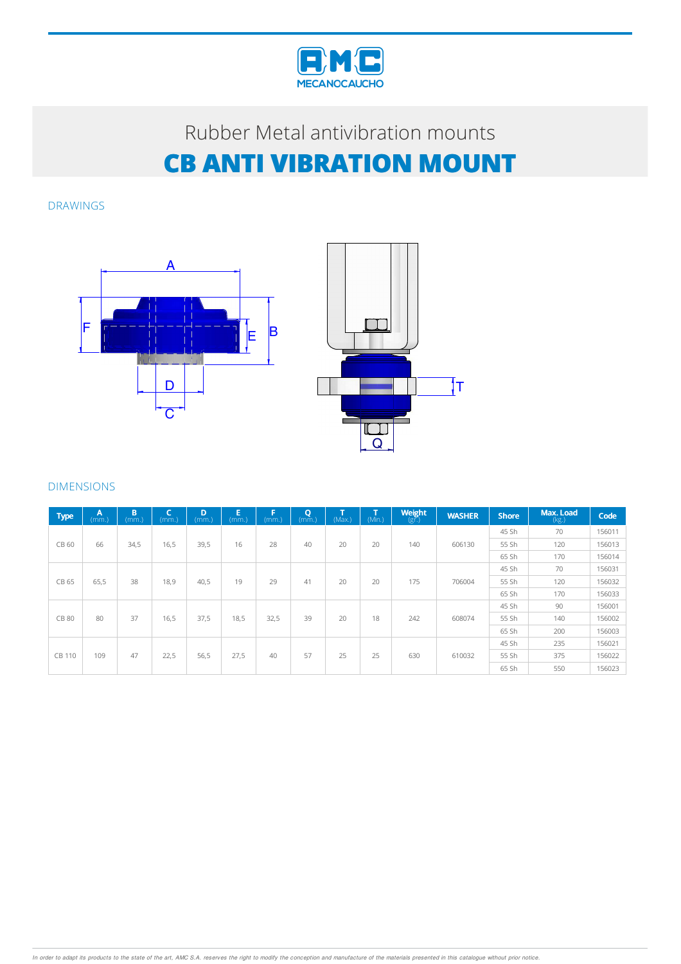

# Rubber Metal antivibration mounts **CB ANTI VIBRATION MOUNT**

DRAWINGS





### DIMENSIONS

| <b>Type</b>   | A<br>(mm.) | B<br>(mm.) | $\epsilon$<br>(mm.) | D<br>(mm.) | Ε<br>(mm.) | F<br>(mm.) | $\mathbf Q$<br>(mm.) | T<br>(Max.) | т<br>(Min.) | Weight<br>$(g\bar{r})$ | <b>WASHER</b> | <b>Shore</b> | Max. Load<br>(kg.) | Code   |
|---------------|------------|------------|---------------------|------------|------------|------------|----------------------|-------------|-------------|------------------------|---------------|--------------|--------------------|--------|
| CB 60         | 66         | 34,5       | 16,5                | 39,5       | 16         | 28         | 40                   | 20          | 20          | 140                    | 606130        | 45 Sh        | 70                 | 156011 |
|               |            |            |                     |            |            |            |                      |             |             |                        |               | 55 Sh        | 120                | 156013 |
|               |            |            |                     |            |            |            |                      |             |             |                        |               | 65 Sh        | 170                | 156014 |
| CB 65         | 65,5       | 38         | 18,9                | 40,5       | 19         | 29         | 41                   | 20          | 20          | 175                    | 706004        | 45 Sh        | 70                 | 156031 |
|               |            |            |                     |            |            |            |                      |             |             |                        |               | 55 Sh        | 120                | 156032 |
|               |            |            |                     |            |            |            |                      |             |             |                        |               | 65 Sh        | 170                | 156033 |
| <b>CB 80</b>  | 80         | 37         | 16,5                | 37,5       | 18,5       | 32,5       | 39                   | 20          | 18          | 242                    | 608074        | 45 Sh        | 90                 | 156001 |
|               |            |            |                     |            |            |            |                      |             |             |                        |               | 55 Sh        | 140                | 156002 |
|               |            |            |                     |            |            |            |                      |             |             |                        |               | 65 Sh        | 200                | 156003 |
| <b>CB 110</b> | 109        | 47         | 22,5                | 56,5       | 27,5       | 40         | 57                   | 25          | 25          | 630                    | 610032        | 45 Sh        | 235                | 156021 |
|               |            |            |                     |            |            |            |                      |             |             |                        |               | 55 Sh        | 375                | 156022 |
|               |            |            |                     |            |            |            |                      |             |             |                        |               | 65 Sh        | 550                | 156023 |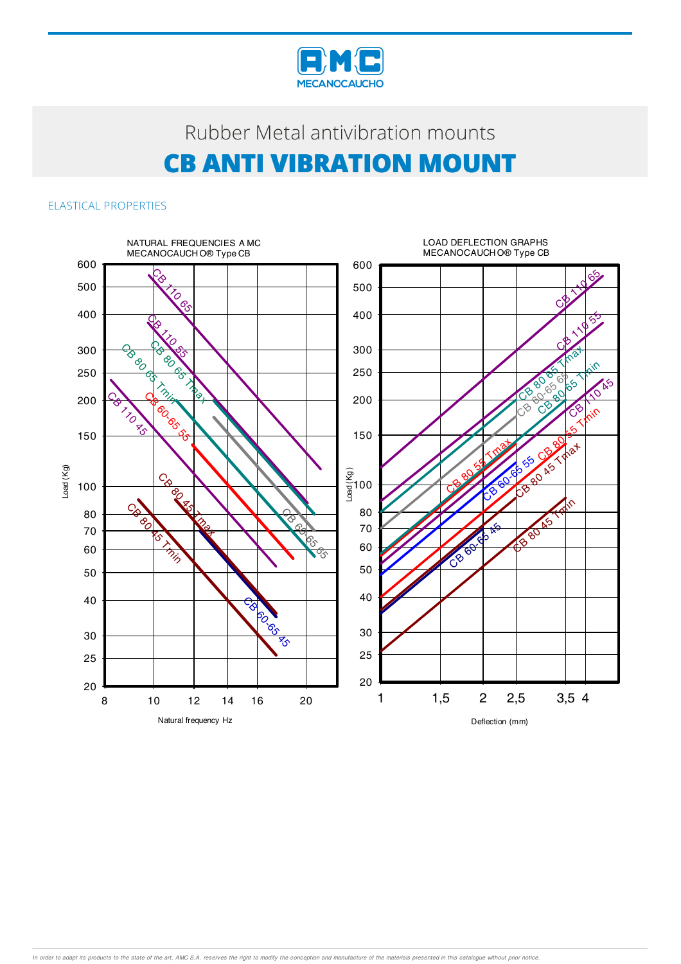

## Rubber Metal antivibration mounts **CB ANTI VIBRATION MOUNT**

### ELASTICAL PROPERTIES